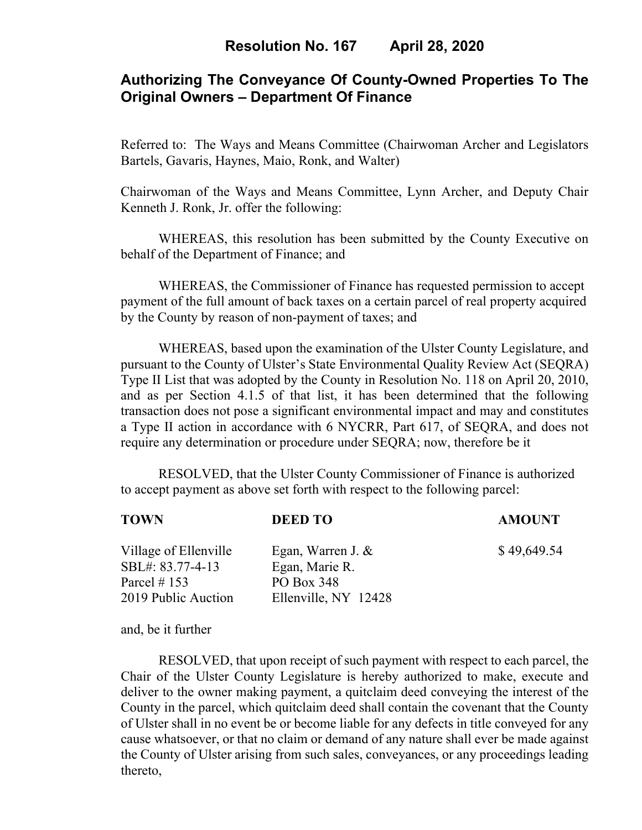# **Authorizing The Conveyance Of County-Owned Properties To The Original Owners – Department Of Finance**

Referred to: The Ways and Means Committee (Chairwoman Archer and Legislators Bartels, Gavaris, Haynes, Maio, Ronk, and Walter)

Chairwoman of the Ways and Means Committee, Lynn Archer, and Deputy Chair Kenneth J. Ronk, Jr. offer the following:

WHEREAS, this resolution has been submitted by the County Executive on behalf of the Department of Finance; and

 WHEREAS, the Commissioner of Finance has requested permission to accept payment of the full amount of back taxes on a certain parcel of real property acquired by the County by reason of non-payment of taxes; and

WHEREAS, based upon the examination of the Ulster County Legislature, and pursuant to the County of Ulster's State Environmental Quality Review Act (SEQRA) Type II List that was adopted by the County in Resolution No. 118 on April 20, 2010, and as per Section 4.1.5 of that list, it has been determined that the following transaction does not pose a significant environmental impact and may and constitutes a Type II action in accordance with 6 NYCRR, Part 617, of SEQRA, and does not require any determination or procedure under SEQRA; now, therefore be it

 RESOLVED, that the Ulster County Commissioner of Finance is authorized to accept payment as above set forth with respect to the following parcel:

| <b>TOWN</b>                                                                         | <b>DEED TO</b>                                                              | <b>AMOUNT</b> |
|-------------------------------------------------------------------------------------|-----------------------------------------------------------------------------|---------------|
| Village of Ellenville<br>SBL#: 83.77-4-13<br>Parcel $\#$ 153<br>2019 Public Auction | Egan, Warren J. $&$<br>Egan, Marie R.<br>PO Box 348<br>Ellenville, NY 12428 | \$49,649.54   |
|                                                                                     |                                                                             |               |

and, be it further

RESOLVED, that upon receipt of such payment with respect to each parcel, the Chair of the Ulster County Legislature is hereby authorized to make, execute and deliver to the owner making payment, a quitclaim deed conveying the interest of the County in the parcel, which quitclaim deed shall contain the covenant that the County of Ulster shall in no event be or become liable for any defects in title conveyed for any cause whatsoever, or that no claim or demand of any nature shall ever be made against the County of Ulster arising from such sales, conveyances, or any proceedings leading thereto,